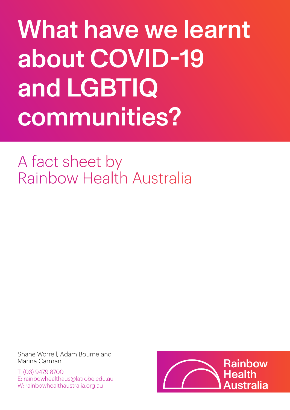# What have we learnt about COVID-19 and LGBTIQ communities?

A fact sheet by Rainbow Health Australia

Shane Worrell, Adam Bourne and Marina Carman

T: (03) 9479 8700 E: rainbowhealthaus@latrobe.edu.au W: rainbowhealthaustralia.org.au

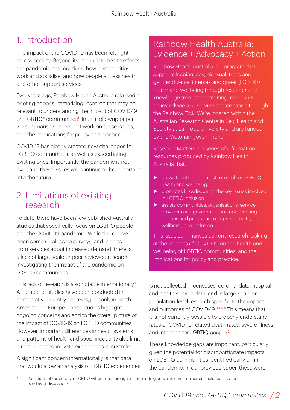# 1. Introduction

The impact of the COVID-19 has been felt right across society. Beyond its immediate health effects, the pandemic has redefined how communities work and socialise, and how people access health and other support services.

Two years ago, Rainbow Health Australia released a briefing paper summarising research that may be relevant to understanding the impact of COVID-19 on LGBTIQ**\*** communities<sup>1</sup> . In this followup paper, we summarise subsequent work on these issues, and the implications for policy and practice.

COVID-19 has clearly created new challenges for LGBTIQ communities, as well as exacerbating existing ones. Importantly, the pandemic is not over, and these issues will continue to be important into the future.

## 2. Limitations of existing research

To date, there have been few published Australian studies that specifically focus on LGBTIQ people and the COVID-19 pandemic. While there have been some small-scale surveys, and reports from services about increased demand, there is a lack of large-scale or peer-reviewed research investigating the impact of the pandemic on LGBTIQ communities.

This lack of research is also notable internationally<sup>2</sup> A number of studies have been conducted in comparative country contexts, primarily in North America and Europe. These studies highlight ongoing concerns and add to the overall picture of the impact of COVID-19 on LGBTIQ communities. However, important differences in health systems and patterns of health and social inequality also limit direct comparisons with experiences in Australia.

A significant concern internationally is that data that would allow an analysis of LGBTIQ experiences

## Rainbow Health Australia: Evidence + Advocacy + Action

Rainbow Health Australia is a program that supports lesbian, gay, bisexual, trans and gender diverse, intersex and queer (LGBTIQ) health and wellbeing through research and knowledge translation, training, resources, policy advice and service accreditation through the Rainbow Tick. We're located within the Australian Research Centre in Sex, Health and Society at La Trobe University and are funded by the Victorian government.

Research Matters is a series of information resources produced by Rainbow Health Australia that:

- $\triangleright$  draws together the latest research on LGBTIQ health and wellbeing
- promotes knowledge on the key issues involved in LGBTIQ inclusion
- $\blacktriangleright$  assists communities, organisations, service providers and government in implementing policies and programs to improve health, wellbeing and inclusion

This issue summarises current research looking at the impacts of COVID-19 on the health and wellbeing of LGBTIQ communities, and the implications for policy and practice.

is not collected in censuses, coronial data, hospital and health service data, and in large-scale or population-level research specific to the impact and outcomes of COVID-19.3,4,5,6 This means that it is not currently possible to properly understand rates of COVID-19-related death rates, severe illness and infection for LGBTIQ people.<sup>2</sup>

These knowledge gaps are important, particularly given the potential for disproportionate impacts on LGBTIQ communities identified early on in the pandemic. In our previous paper, these were

**\*** Variations of the acronym LGBTIQ will be used throughout, depending on which communities are included in particular studies or discussions.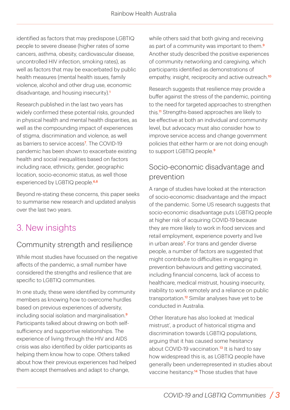identified as factors that may predispose LGBTIQ people to severe disease (higher rates of some cancers, asthma, obesity, cardiovascular disease, uncontrolled HIV infection, smoking rates), as well as factors that may be exacerbated by public health measures (mental health issues, family violence, alcohol and other drug use, economic disadvantage, and housing insecurity)<sup>1</sup>

Research published in the last two years has widely confirmed these potential risks, grounded in physical health and mental health disparities, as well as the compounding impact of experiences of stigma, discrimination and violence, as well as barriers to service access<sup>7</sup>. The COVID-19 pandemic has been shown to exacerbate existing health and social inequalities based on factors including race, ethnicity, gender, geographic location, socio-economic status, as well those experienced by LGBTIQ people.<sup>6,8</sup>

Beyond re-stating these concerns, this paper seeks to summarise new research and updated analysis over the last two years.

# 3. New insights

#### Community strength and resilience

While most studies have focussed on the negative affects of the pandemic, a small number have considered the strengths and resilience that are specific to LGBTIQ communities.

In one study, these were identified by community members as knowing how to overcome hurdles based on previous experiences of adversity, including social isolation and marginalisation.<sup>9</sup> Participants talked about drawing on both selfsufficiency and supportive relationships. The experience of living through the HIV and AIDS crisis was also identified by older participants as helping them know how to cope. Others talked about how their previous experiences had helped them accept themselves and adapt to change,

while others said that both giving and receiving as part of a community was important to them<sup>9</sup> Another study described the positive experiences of community networking and caregiving, which participants identified as demonstrations of empathy, insight, reciprocity and active outreach.<sup>10</sup>

Research suggests that resilience may provide a buffer against the stress of the pandemic, pointing to the need for targeted approaches to strengthen this.<sup>11</sup> Strengths-based approaches are likely to be effective at both an individual and community level, but advocacy must also consider how to improve service access and change government policies that either harm or are not doing enough to support LGBTIQ people.<sup>9</sup>

#### Socio-economic disadvantage and prevention

A range of studies have looked at the interaction of socio-economic disadvantage and the impact of the pandemic. Some US research suggests that socio-economic disadvantage puts LGBTIQ people at higher risk of acquiring COVID-19 because they are more likely to work in food services and retail employment, experience poverty and live in urban areas<sup>7</sup> . For trans and gender diverse people, a number of factors are suggested that might contribute to difficulties in engaging in prevention behaviours and getting vaccinated, including financial concerns, lack of access to healthcare, medical mistrust, housing insecurity, inability to work remotely and a reliance on public transportation.12 Similar analyses have yet to be conducted in Australia.

Other literature has also looked at 'medical mistrust', a product of historical stigma and discrimination towards LGBTIQ populations, arguing that it has caused some hesitancy about COVID-19 vaccination.<sup>13</sup> It is hard to say how widespread this is, as LGBTIQ people have generally been underrepresented in studies about vaccine hesitancy.<sup>14</sup> Those studies that have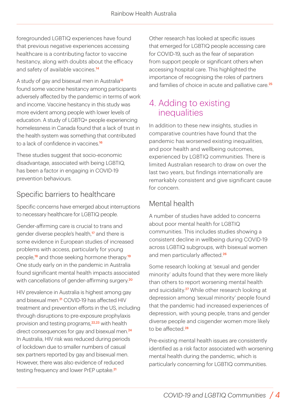foregrounded LGBTIQ experiences have found that previous negative experiences accessing healthcare is a contributing factor to vaccine hesitancy, along with doubts about the efficacy and safety of available vaccines.<sup>14</sup>

A study of gay and bisexual men in Australia<sup>15</sup> found some vaccine hesitancy among participants adversely affected by the pandemic in terms of work and income. Vaccine hesitancy in this study was more evident among people with lower levels of education. A study of LGBTQ+ people experiencing homelessness in Canada found that a lack of trust in the health system was something that contributed to a lack of confidence in vaccines.<sup>16</sup>

These studies suggest that socio-economic disadvantage, associated with being LGBTIQ, has been a factor in engaging in COVID-19 prevention behaviours.

#### Specific barriers to healthcare

Specific concerns have emerged about interruptions to necessary healthcare for LGBTIQ people.

Gender-affirming care is crucial to trans and gender diverse people's health,<sup>17</sup> and there is some evidence in European studies of increased problems with access, particularly for young people,<sup>18</sup> and those seeking hormone therapy.<sup>19</sup> One study early on in the pandemic in Australia found significant mental health impacts associated with cancellations of gender-affirming surgery.<sup>20</sup>

HIV prevalence in Australia is highest among gay and bisexual men.<sup>21</sup> COVID-19 has affected HIV treatment and prevention efforts in the US, including through disruptions to pre-exposure prophylaxis provision and testing programs,<sup>22,23</sup> with health direct consequences for gay and bisexual men.<sup>24</sup> In Australia, HIV risk was reduced during periods of lockdown due to smaller numbers of casual sex partners reported by gay and bisexual men. However, there was also evidence of reduced testing frequency and lower PrEP uptake.<sup>21</sup>

Other research has looked at specific issues that emerged for LGBTIQ people accessing care for COVID-19, such as the fear of separation from support people or significant others when accessing hospital care. This highlighted the importance of recognising the roles of partners and families of choice in acute and palliative care.<sup>25</sup>

## 4. Adding to existing inequalities

In addition to these new insights, studies in comparative countries have found that the pandemic has worsened existing inequalities, and poor health and wellbeing outcomes, experienced by LGBTIQ communities. There is limited Australian research to draw on over the last two years, but findings internationally are remarkably consistent and give significant cause for concern.

#### Mental health

A number of studies have added to concerns about poor mental health for LGBTIQ communities. This includes studies showing a consistent decline in wellbeing during COVID-19 across LGBTIQ subgroups, with bisexual women and men particularly affected.<sup>26</sup>

Some research looking at 'sexual and gender minority' adults found that they were more likely than others to report worsening mental health and suicidality.<sup>27</sup> While other research looking at depression among 'sexual minority' people found that the pandemic had increased experiences of depression, with young people, trans and gender diverse people and cisgender women more likely to be affected.<sup>28</sup>

Pre-existing mental health issues are consistently identified as a risk factor associated with worsening mental health during the pandemic, which is particularly concerning for LGBTIQ communities.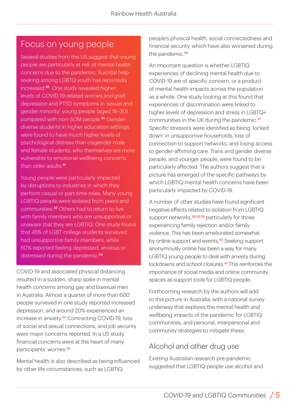## Focus on young people

Several studies from the US suggest that young people are particularly at risk of mental health concerns due to the pandemic. Suicidal helpseeking among LGBTQ youth has reportedly increased.29 One study revealed higher levels of COVID-19-related worries and grief, depression and PTSD symptoms in 'sexual and gender minority' young people (aged 18–30) compared with non-SGM people.30 Genderdiverse students in higher education settings were found to have much higher levels of psychological distress than cisgender male and female students, who themselves are more vulnerable to emotional wellbeing concerns than older adults.<sup>31</sup>

Young people were particularly impacted by disruptions to industries in which they perform casual or part-time roles. Many young LGBTIQ people were isolated from peers and communities.32 Others had to return to live with family members who are unsupportive or unaware that they are LGBTIQ. One study found that 45% of LGBT college students surveyed had unsupportive family members, while 60% reported feeling depressed, anxious or distressed during the pandemic.<sup>33</sup>

COVID-19 and associated physical distancing resulted in a sudden, sharp spike in mental health concerns among gay and bisexual men in Australia. Almost a quarter of more than 600 people surveyed in one study reported increased depression, and around 20% experienced an increase in anxiety.34 Contracting COVID-19, loss of social and sexual connections, and job security were major concerns reported. In a US study, financial concerns were at the heart of many participants' worries.<sup>35</sup>

Mental health is also described as being influenced by other life circumstances, such as LGBTIQ

people's physical health, social connectedness and financial security, which have also worsened during the pandemic.<sup>36</sup>

An important question is whether LGBTIQ experiences of declining mental health due to COVID-19 are of specific concern, or a product of mental health impacts across the population as a whole. One study looking at this found that experiences of discrimination were linked to higher levels of depression and stress in LGBTQ+ communities in the UK during the pandemic.<sup>37</sup> Specific stressors were identified as being 'locked down' in unsupportive households, loss of connection to support networks, and losing access to gender-affirming care. Trans and gender diverse people, and younger people, were found to be particularly affected. The authors suggest that a picture has emerged of the specific pathways by which LGBTIQ mental health concerns have been particularly impacted by COVID-19.

A number of other studies have found significant negative effects related to isolation from LGBTIQ support networks,<sup>28,38,39</sup> particularly for those experiencing family rejection and/or family violence. This has been ameliorated somewhat by online support and events.<sup>40</sup> Seeking support anonymously online has been a way for many LGBTIQ young people to deal with anxiety during lockdowns and school closures.41 This reinforces the importance of social media and online community spaces as support tools for LGBTIQ people.

Forthcoming research by the authors will add to this picture in Australia, with a national survey underway that explores the mental health and wellbeing impacts of the pandemic for LGBTIQ communities, and personal, interpersonal and community strategies to mitigate these.

## Alcohol and other drug use

Existing Australian research pre-pandemic suggested that LGBTIQ people use alcohol and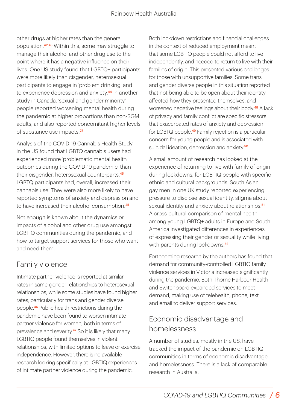other drugs at higher rates than the general population.42,43 Within this, some may struggle to manage their alcohol and other drug use to the point where it has a negative influence on their lives. One US study found that LGBTQ+ participants were more likely than cisgender, heterosexual participants to engage in 'problem drinking' and to experience depression and anxiety.<sup>44</sup> In another study in Canada, 'sexual and gender minority' people reported worsening mental health during the pandemic at higher proportions than non-SGM adults, and also reported concomitant higher levels of substance use impacts.<sup>27</sup>

Analysis of the COVID-19 Cannabis Health Study in the US found that LGBTQ cannabis users had experienced more 'problematic mental health outcomes during the COVID-19 pandemic' than their cisgender, heterosexual counterparts.<sup>45</sup> LGBTQ participants had, overall, increased their cannabis use. They were also more likely to have reported symptoms of anxiety and depression and to have increased their alcohol consumption.<sup>45</sup>

Not enough is known about the dynamics or impacts of alcohol and other drug use amongst LGBTIQ communities during the pandemic, and how to target support services for those who want and need them.

#### Family violence

Intimate partner violence is reported at similar rates in same-gender relationships to heterosexual relationships, while some studies have found higher rates, particularly for trans and gender diverse people.46 Public health restrictions during the pandemic have been found to worsen intimate partner violence for women, both in terms of prevalence and severity.<sup>47</sup> So it is likely that many LGBTIQ people found themselves in violent relationships, with limited options to leave or exercise independence. However, there is no available research looking specifically at LGBTIQ experiences of intimate partner violence during the pandemic.

Both lockdown restrictions and financial challenges in the context of reduced employment meant that some LGBTIQ people could not afford to live independently, and needed to return to live with their families of origin. This presented various challenges for those with unsupportive families. Some trans and gender diverse people in this situation reported that not being able to be open about their identity affected how they presented themselves, and worsened negative feelings about their body.48 A lack of privacy and family conflict are specific stressors that exacerbated rates of anxiety and depression for LGBTQ people.49 Family rejection is a particular concern for young people and is associated with suicidal ideation, depression and anxiety.<sup>50</sup>

A small amount of research has looked at the experience of returning to live with family of origin during lockdowns, for LGBTIQ people with specific ethnic and cultural backgrounds. South Asian gay men in one UK study reported experiencing pressure to disclose sexual identity, stigma about sexual identity and anxiety about relationships.<sup>51</sup> A cross-cultural comparison of mental health among young LGBTQ+ adults in Europe and South America investigated differences in experiences of expressing their gender or sexuality while living with parents during lockdowns.<sup>52</sup>

Forthcoming research by the authors has found that demand for community-controlled LGBTIQ family violence services in Victoria increased significantly during the pandemic. Both Thorne Harbour Health and Switchboard expanded services to meet demand, making use of telehealth, phone, text and email to deliver support services.

#### Economic disadvantage and homelessness

A number of studies, mostly in the US, have tracked the impact of the pandemic on LGBTIQ communities in terms of economic disadvantage and homelessness. There is a lack of comparable research in Australia.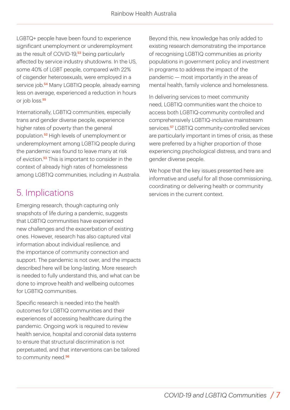LGBTQ+ people have been found to experience significant unemployment or underemployment as the result of COVID-19,<sup>53</sup> being particularly affected by service industry shutdowns. In the US, some 40% of LGBT people, compared with 22% of cisgender heterosexuals, were employed in a service job.<sup>54</sup> Many LGBTIQ people, already earning less on average, experienced a reduction in hours or job loss.<sup>55</sup>

Internationally, LGBTIQ communities, especially trans and gender diverse people, experience higher rates of poverty than the general population.52 High levels of unemployment or underemployment among LGBTIQ people during the pandemic was found to leave many at risk of eviction.<sup>53</sup> This is important to consider in the context of already high rates of homelessness among LGBTIQ communities, including in Australia.

## 5. Implications

Emerging research, though capturing only snapshots of life during a pandemic, suggests that LGBTIQ communities have experienced new challenges and the exacerbation of existing ones. However, research has also captured vital information about individual resilience, and the importance of community connection and support. The pandemic is not over, and the impacts described here will be long-lasting. More research is needed to fully understand this, and what can be done to improve health and wellbeing outcomes for LGBTIQ communities.

Specific research is needed into the health outcomes for LGBTIQ communities and their experiences of accessing healthcare during the pandemic. Ongoing work is required to review health service, hospital and coronial data systems to ensure that structural discrimination is not perpetuated, and that interventions can be tailored to community need.<sup>56</sup>

Beyond this, new knowledge has only added to existing research demonstrating the importance of recognising LGBTIQ communities as priority populations in government policy and investment in programs to address the impact of the pandemic — most importantly in the areas of mental health, family violence and homelessness.

In delivering services to meet community need, LGBTIQ communities want the choice to access both LGBTIQ-community controlled and comprehensively LGBTIQ-inclusive mainstream services.<sup>57</sup> LGBTIQ community-controlled services are particularly important in times of crisis, as these were preferred by a higher proportion of those experiencing psychological distress, and trans and gender diverse people.

We hope that the key issues presented here are informative and useful for all those commissioning, coordinating or delivering health or community services in the current context.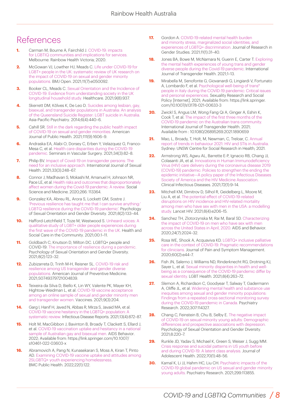## References

- **1.** Carman M, Bourne A, Fairchild J. COVID-19: impacts [for LGBTIQ communities and implications for services.](https://rainbowhealthaustralia.org.au/media/pages/research-resources/research-briefing-paper-covid-19-impacts-for-lgbtiq-communities-and-implications-for-services/817379592-1650953507/rainbow-health-victoria-research-briefing-paper-covid-19.pdf) Melbourne: Rainbow Health Victoria; 2020.
- **2.** [McGowan VJ, Lowther HJ, Meads C. Life under COVID-19 for](https://doi.org/10.1136/bmjopen-2021-050092) LGBT+ people in the UK: systematic review of UK research on the impact of COVID-19 on sexual and gender minority populations. BMJ Open. 2021;11(7):e050092.
- **3.** [Booker CL, Meads C. Sexual Orientation and the Incidence](https://doi.org/10.3390%2Fhealthcare9080937) of COVID-19: Evidence from understanding society in the UK longitudinal household study. Healthcare. 2021;9(8):937.
- **4.** Skerrett DM, Kõlves K, De Leo D. Suicides among lesbian, gay, [bisexual, and transgender populations in Australia: An analysis](https://doi.org/10.1111/appy.12128) of the Queensland Suicide Register: LGBT suicide in Australia. Asia-Pacific Psychiatry. 2014;6(4):440–6.
- **5.** [Cahill SR. Still in the dark regarding the public health impact](https://doi.org/10.2105/AJPH.2021.306397) of COVID-19 on sexual and gender minorities. American Journal of Public Health. 2021;111(9):1606–9.
- **6.** [Andraska EA, Alabi O, Dorsey C, Erben Y, Velazquez G, Franco-](https://doi.org/10.1053%2Fj.semvascsurg.2021.08.002)Mesa C, et al. Health care disparities during the COVID-19 pandemic. Seminars in Vascular Surgery. 2021;34(3):82–8.
- **7.** [Philip BV. Impact of Covid-19 on transgender persons: The](https://doi.org/10.1080/19317611.2021.1906375) need for an inclusive approach. International Journal of Sexual Health. 2021;33(3):248–67.
- **8.** Connor J, Madhavan S, Mokashi M, Amanuel H, Johnson NR, [Pace LE, et al. Health risks and outcomes that disproportionately](https://doi.org/10.1016%2Fj.socscimed.2020.113364) affect women during the Covid-19 pandemic: A review. Social Science and Medicine. 2020;266: 113364.
- **9.** Gonzalez KA, Abreu RL, Arora S, Lockett GM, Sostre J. 'Previous resilience has taught me that I can survive anything:' [LGBTQ resilience during the COVID-19 pandemic'. Psychology](https://psycnet.apa.org/doi/10.1037/sgd0000501) of Sexual Orientation and Gender Diversity. 2021;8(2):133–44.
- **10.** [Hafford-Letchfield T, Toze M, Westwood S. Unheard voices: A](https://doi.org/10.1111/hsc.13531) qualitative study of LGBT+ older people experiences during the first wave of the COVID-19 pandemic in the UK. Health and Social Care in the Community. 2021;00:1–11.
- **11.** Goldbach C, Knutson D, Milton DC. LGBTQ+ people and [COVID-19: The importance of resilience during a pandemic.](https://psycnet.apa.org/doi/10.1037/sgd0000463) Psychology of Sexual Orientation and Gender Diversity. 2021;8(2):123–32.
- **12.** [Zubizarreta D, Trinh M-H, Reisner SL. COVID-19 risk and](https://doi.org/10.1016%2Fj.amepre.2021.07.017) resilience among US transgender and gender diverse populations. American Journal of Preventive Medicine. 2021;S0749379721004839.
- **13.** Teixeira da Silva D, Biello K, Lin WY, Valente PK, Mayer KH, Hightow-Weidman L, et al. COVID-19 vaccine acceptance [among an online sample of sexual and gender minority men](https://doi.org/10.3390/vaccines9030204) and transgender women. Vaccines. 2021;9(3):204.
- **14.** Garg I, Hanif H, Javed N, Abbas R, Mirza S, Javaid MA, et al. COVID-19 vaccine hesitancy in the LGBTQ+ population: A [systematic review. Infectious Disease Reports. 2021;13\(4\):872–87.](https://doi.org/10.3390%2Fidr13040079)
- **15.** [Holt M, MacGibbon J, Bavinton B, Broady T, Clackett S, Ellard J,](https://doi.org/10.1007/s10461-022-03603-x) et al. COVID-19 vaccination uptake and hesitancy in a national sample of Australian gay and bisexual men. AIDS Behavior. 2022; Available from: https://link.springer.com/10.1007/ s10461-022-03603-x
- **16.** [Abramovich A, Pang N, Kunasekaran S, Moss A, Kiran T,](https://doi.org/10.1186/s12889-022-12537-x) Pinto AD. Examining COVID-19 vaccine uptake and attitudes among 2SLGBTQ+ youth experiencing homelessness. BMC Public Health. 2022;22(1):122.
- **17.** Gordon A. COVID-19-related mental health burden and minority stress, marginalized social identities, and [experiences of LGBTQ+ discrimination. Journal of Research in](https://doi.org/10.22381/JRGS11120213) Gender Studies. 2021;11(1):31–40.
- **18.** [Jones BA, Bowe M, McNamara N, Guerin E, Carter T. Exploring](https://doi.org/10.1080/26895269.2021.1890301) the mental health experiences of young trans and gender diverse people during the Covid-19 pandemic. International Journal of Transgender Health. 2021;1–13.
- **19.** [Mirabella M, Senofonte G, Giovanardi G, Lingiardi V, Fortunato](https://doi.org/10.1007/s13178-021-00633-3) A, Lombardo F, et al. Psychological well-being of trans\* people in Italy during the COVID-19 pandemic: Critical issues and personal experiences. Sexuality Research and Social Policy [Internet]. 2021; Available from: https://link.springer. com/10.1007/s13178-021-00633-3
- **20.** Zwickl S, Angus LM, Wong Fang Qi A, Ginger A, Eshin K, [Cook T, et al. The impact of the first three months of the](https://doi.org/10.1080/26895269.2021.1890659) COVID-19 pandemic on the Australian trans community. International Journal of Transgender Health. 2021; Available from : 10.1080/26895269.2021.1890659
- **21.** Mao, L, Broady, T, Holt, M, Newman, C, Treloar, C. Annual [report of trends in behaviour 2021: HIV and STIs in Australia.](http://dx.doi.org/10.26190/m99y-sh21) Sydney: UNSW Centre for Social Research in Health; 2021.
- **22.** Armstrong WS, Agwu AL, Barrette E-P, Ignacio RB, Chang JJ, Colasanti JA, et al. Innovations in Human Immunodeficiency Virus (HIV) care delivery during the coronavirus disease 2019 (COVID-19) pandemic: Policies to strengthen the ending the [epidemic initiative—A policy paper of the Infectious Diseases](https://doi.org/10.1093/cid/ciaa1532) Society of America and the HIV Medicine Association. Clinical Infectious Diseases. 2021;72(1):9–14.
- **23.** Mitchell KM, Dimitrov D, Silhol R, Geidelberg L, Moore M, Liu A, et al. The potential effect of COVID-19-related disruptions on HIV incidence and HIV-related mortality [among men who have sex with men in the USA: a modelling](https://doi.org/10.1016/s2352-3018(21)00022-9) study. Lancet HIV. 2021;8(4):e206–15.
- **24.** [Sanchez TH, Zlotorzynska M, Rai M, Baral SD. Characterizing](https://doi.org/10.1007%2Fs10461-020-02894-2) the impact of COVID-19 on men who have sex with men across the United States in April, 2020. AIDS and Behavior. 2020;24(7):2024–32.
- **25.** Rosa WE, Shook A, Acquaviva KD. LGBTQ+ inclusive palliative [care in the context of COVID-19: Pragmatic recommendations](https://doi.org/10.1016%2Fj.jpainsymman.2020.04.155) for clinicians. Journal of Pain and Symptom Management. 2020;60(2):e44–7.
- **26.** [Fish JN, Salerno J, Williams ND, Rinderknecht RG, Drotning KJ,](https://doi.org/10.1089/lgbt.2020.0489) Sayer L, et al. Sexual minority disparities in health and wellbeing as a consequence of the COVID-19 pandemic differ by sexual identity. LGBT Health. 2021;8(4):263–72.
- **27.** Slemon A, Richardson C, Goodyear T, Salway T, Gadermann [A, Oliffe JL, et al. Widening mental health and substance use](https://doi.org/10.1016%2Fj.psychres.2021.114327) inequities among sexual and gender minority populations: Findings from a repeated cross-sectional monitoring survey during the COVID-19 pandemic in Canada. Psychiatry Research. 2022;307:114327.
- **28.** Chang C, Feinstein B, Chu B, Selby E. The negative impact [of COVID-19 on sexual minority young adults: Demographic](https://doi.org/10.1037/sgd0000494) differences and prospective associations with depression. Psychology of Sexual Orientation and Gender Diversity. 2021;8:220–7.
- **29.** [Runkle JD, Yadav S, Michael K, Green S, Weiser J, Sugg MM.](https://doi.org/10.1016/j.jadohealth.2021.10.003) Crisis response and suicidal patterns in US youth before and during COVID-19: A latent class analysis. Journal of Adolescent Health. 2022;70(1):48–56.
- **30.** Kamal K, Li JJ, Hahm HC, Liu CH. Psychiatric impacts of the [COVID-19 global pandemic on US sexual and gender minority](https://doi.org/10.1016/j.psychres.2021.113855) young adults. Psychiatry Research. 2021;299:113855.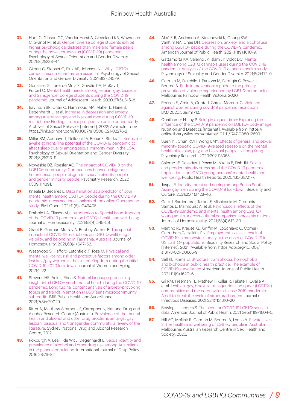- **31.** Hunt C, Gibson GC, Vander Horst A, Cleveland KA, Wawrosch C, Granot M, et al. Gender diverse college students exhibit higher psychological distress than male and female peers during the novel coronavirus (COVID-19) pandemic. [Psychology of Sexual Orientation and Gender Diversity.](https://doi.org/10.1037/sgd0000461) 2021;8(2):238–44.
- **32.** Gilbert C, Siepser C, Fink AE, Johnson NL. Why LGBTQ+ [campus resource centers are essential. Psychology of Sexual](https://doi.org/10.1037/sgd0000451) Orientation and Gender Diversity. 2021;8(2):245–9.
- **33.** Gonzales G, Loret de Mola E, Gavulic KA, McKay T, [Purcell C. Mental health needs among lesbian, gay, bisexual,](https://doi.org/10.1016/j.jadohealth.2020.08.006) and transgender college students during the COVID-19 pandemic. Journal of Adolescent Health. 2020;67(5):645–8.
- **34.** Bavinton BR, Chan C, Hammoud MA, Maher L, Haire B, Degenhardt L, et al. Increase in depression and anxiety among Australian gay and bisexual men during COVID-19 [restrictions: Findings from a prospective online cohort study.](https://doi.org/10.1007/s10508-021-02276-2) Archives of Sexual Behavior [Internet]. 2022; Available from: https://link.springer.com/10.1007/s10508-021-02276-2
- **35.** [Millar BM, Adebayo T, Dellucci TV, Behar E, Starks TJ. Keeps](https://doi.org/10.1037/sgd0000441) me awake at night: The potential of the COVID-19 pandemic to affect sleep quality among sexual minority men in the USA. Psychology of Sexual Orientation and Gender Diversity. 2021;8(2):213–9.
- **36.** [Nowaskie DZ, Roesler AC. The impact of COVID-19 on the](https://doi.org/10.1016/j.psychres.2022.114391) LGBTQ+ community: Comparisons between cisgender, heterosexual people, cisgender sexual minority people, and gender minority people. Psychiatry Research. 2022 1;309:114391.
- **37.** Kneale D, Bécares L. Discrimination as a predictor of poor mental health among LGBTQ+ people during the COVID-19 [pandemic: cross-sectional analysis of the online Queerantine](https://doi.org/10.1136/bmjopen-2021-049405) study. BMJ Open. 2021;11(6):e049405.
- **38.** Drabble LA, Eliason MJ. Introduction to Special Issue: Impacts [of the COVID-19 pandemic on LGBTQ+ health and well-being.](https://doi.org/10.1080/00918369.2020.1868182) Journal of Homosexuality. 2021;68(4):545–59.
- **39.** Grant R, Gorman-Murray A, Briohny Walker B. The spatial impacts of COVID-19 restrictions on LGBTIQ wellbeing, [visibility, and belonging in Tasmania, Australia. Journal of](https://doi.org/10.1080/00918369.2020.1868188) Homosexuality. 2021;68(4):647–62.
- **40.** Westwood S, Hafford-Letchfield T, Toze M. Physical and mental well-being, risk and protective factors among older [lesbians/gay women in the United Kingdom during the initial](https://doi.org/10.1080/08952841.2021.1965456) COVID-19 2020 lockdown. Journal of Women and Aging. 2021;1–22.
- **41.** Stevens HR, Acic I, Rhea S. Natural language processing [insight into LGBTQ+ youth mental health during the COVID-19](https://doi.org/10.2196/29029) pandemic: Longitudinal content analysis of anxiety-provoking topics and trends in emotion in LGBTeens microcommunity subreddit. JMIR Public Health and Surveillance. 2021;7(8):e29029.
- **42.** [Ritter A, Matthew-Simmons F, Carragher N, National Drug](https://ndarc.med.unsw.edu.au/resource/23-prevalence-and-interventions-mental-health-and-alcohol-and-other-drug-problems-amongst) and Alcohol Research Centre (Australia). Prevalence of the mental health and alcohol and other drug problems amongst gay, lesbian, bisexual and transgender community: a review of the literature. Sydney: National Drug and Alcohol Research Centre; 2012.
- **43.** [Roxburgh A, Lea T, de Wit J, Degenhardt L. Sexual identity and](https://doi.org/10.1016/j.drugpo.2015.11.005) prevalence of alcohol and other drug use among Australians in the general population. International Journal of Drug Policy. 2016;28:76–82.
- **44.** Akré E-R, Anderson A, Stojanovski K, Chung KW, [VanKim NA, Chae DH. Depression, anxiety, and alcohol use](https://doi.org/10.2105/ajph.2021.306394) among LGBTQ+ people during the COVID-19 pandemic. American Journal of Public Health. 2021;111(9):1610–9.
- **45.** Gattamorta KA, Salerno JP, Islam JY, Vidot DC. Mental health among LGBTQ cannabis users during the COVID-19 pandemic: Analysis of the COVID-19 cannabis health study. [Psychology of Sexuality and Gender Diversity. 2021;8\(2\):172–9.](https://psycnet.apa.org/doi/10.1037/sgd0000491)
- **46.** Carman M, Fairchild J, Parsons M, Farrugia C, Power J, Bourne A. Pride in prevention: a guide to the primary [prevention of violence experienced by LGBTIQ communities.](https://opal.latrobe.edu.au/ndownloader/files/29088549) Melbourne: Rainbow Health Victoria; 2020.
- **47.** [Roesch E, Amin A, Gupta J, Garcia-Moreno, C. Violence](https://doi.org/10.1136/bmj.m1712) against women during covid-19 pandemic restrictions. BMJ 2020;369:m1712.
- **48.** Quathamer N, Joy P. Being in a queer time: Exploring the [influence of the COVID-19 pandemic on LGBTQ+ body image.](https://doi.org/10.1111/1747-0080.12699) Nutrition and Dietetics [Internet]. Available from: https:// onlinelibrary.wiley.com/doi/abs/10.1111/1747-0080.12699
- **49.** [Suen YT, Chan RCH, Wong EMY. Effects of general and sexual](https://doi.org/10.1016%2Fj.psychres.2020.113365) minority-specific COVID-19-related stressors on the mental health of lesbian, gay, and bisexual people in Hong Kong. Psychiatry Research. 2020;292:113365.
- **50.** Salerno JP, Devadas J, Pease M, Nketia B, Fish JN. Sexual and gender minority stress amid the COVID-19 pandemic: [Implications for LGBTQ young persons' mental health and](https://doi.org/10.1177/0033354920954511) well-being. Public Health Reports. 2020;135(6):721–7.
- **51.** Jaspal R. Identity threat and coping among British South [Asian gay men during the COVID-19 lockdown. Sexuality and](https://doi.org/10.1007%2Fs12119-021-09817-w) Culture. 2021;25(4):1428–46.
- **52.** Gato J, Barrientos J, Tasker F, Miscioscia M, Cerqueira-Santos E, Malmquist A, et al. Psychosocial effects of the COVID-19 pandemic and mental health among LGBTQ+ [young adults: A cross-cultural comparison across six nations.](https://doi.org/10.1080/00918369.2020.1868186) Journal of Homosexuality. 2021;68(4):612–30.
- **53.** Martino RJ, Krause KD, Griffin M, LoSchiavo C, Comer-Carruthers C, Halkitis PN. Employment loss as a result of COVID-19: a nationwide survey at the onset of COVID-19 in [US LGBTQ+ populations. Sexuality Research and Social Policy](https://doi.org/10.1007/s13178-021-00665-9) [Internet]. 2021; Available from: https://doi.org/10.1007/ s13178-021-00665-9
- **54.** Sell RL, Krims EI. Structural transphobia, homophobia, and biphobia in public health practice: The example of [COVID-19 surveillance. American Journal of Public Health.](https://doi.org/10.2105/ajph.2021.306277) 2021;111(9):1620–6.
- **55.** Gil RM, Freeman TL, Mathew T, Kullar R, Fekete T, Ovalle A, [et al. Lesbian, gay, bisexual, transgender, and queer \(LGBTQ+\)](https://doi.org/10.1093/infdis/jiab392) communities and the coronavirus disease 2019 pandemic: A call to break the cycle of structural barriers. Journal of Infectious Diseases. 2021;224(11):1810–20.
- **56.** Bowleg L, Landers S. The need for COVID-19 LGBTQ-specific [data. American Journal of Public Health. 2021 Sep;111\(9\):1604–5.](https://doi.org/10.2105/ajph.2021.306463)
- **57.** [Hill AO, McNair R, Carman M, Bourne A, Lyons A. Private Lives](https://www.latrobe.edu.au/arcshs/publications/private-lives/private-lives-3) 3: The health and wellbeing of LGBTIQ people in Australia. Melbourne: Australian Research Centre in Sex, Health and Society; 2020.